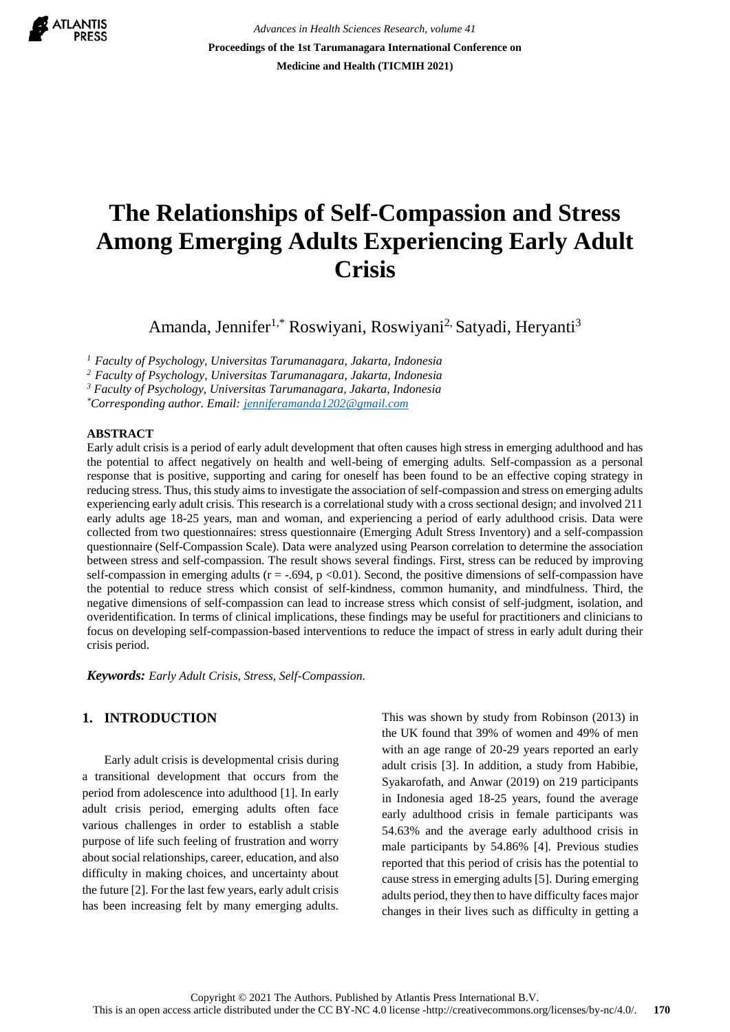

*Advances in Health Sciences Research, volume 41* **Proceedings of the 1st Tarumanagara International Conference on Medicine and Health (TICMIH 2021)**

# **The Relationships of Self-Compassion and Stress Among Emerging Adults Experiencing Early Adult Crisis**

Amanda, Jennifer<sup>1,\*</sup> Roswiyani, Roswiyani<sup>2,</sup> Satyadi, Heryanti<sup>3</sup>

*<sup>1</sup>Faculty of Psychology, Universitas Tarumanagara, Jakarta, Indonesia*

*<sup>2</sup>Faculty of Psychology, Universitas Tarumanagara, Jakarta, Indonesia*

*<sup>3</sup> Faculty of Psychology, Universitas Tarumanagara, Jakarta, Indonesia*

*\*Corresponding author. Email: [jenniferamanda1202@gmail.com](mailto:jenniferamanda1202@gmail.com)*

#### **ABSTRACT**

Early adult crisis is a period of early adult development that often causes high stress in emerging adulthood and has the potential to affect negatively on health and well-being of emerging adults. Self-compassion as a personal response that is positive, supporting and caring for oneself has been found to be an effective coping strategy in reducing stress. Thus, this study aims to investigate the association of self-compassion and stress on emerging adults experiencing early adult crisis. This research is a correlational study with a cross sectional design; and involved 211 early adults age 18-25 years, man and woman, and experiencing a period of early adulthood crisis. Data were collected from two questionnaires: stress questionnaire (Emerging Adult Stress Inventory) and a self-compassion questionnaire (Self-Compassion Scale). Data were analyzed using Pearson correlation to determine the association between stress and self-compassion. The result shows several findings. First, stress can be reduced by improving self-compassion in emerging adults ( $r = -.694$ ,  $p < 0.01$ ). Second, the positive dimensions of self-compassion have the potential to reduce stress which consist of self-kindness, common humanity, and mindfulness. Third, the negative dimensions of self-compassion can lead to increase stress which consist of self-judgment, isolation, and overidentification. In terms of clinical implications, these findings may be useful for practitioners and clinicians to focus on developing self-compassion-based interventions to reduce the impact of stress in early adult during their crisis period.

*Keywords: Early Adult Crisis, Stress, Self-Compassion.*

# **1. INTRODUCTION**

Early adult crisis is developmental crisis during a transitional development that occurs from the period from adolescence into adulthood [1]. In early adult crisis period, emerging adults often face various challenges in order to establish a stable purpose of life such feeling of frustration and worry about social relationships, career, education, and also difficulty in making choices, and uncertainty about the future [2]. For the last few years, early adult crisis has been increasing felt by many emerging adults.

This was shown by study from Robinson (2013) in the UK found that 39% of women and 49% of men with an age range of 20-29 years reported an early adult crisis [3]. In addition, a study from Habibie, Syakarofath, and Anwar (2019) on 219 participants in Indonesia aged 18-25 years, found the average early adulthood crisis in female participants was 54.63% and the average early adulthood crisis in male participants by 54.86% [4]. Previous studies reported that this period of crisis has the potential to cause stress in emerging adults [5]. During emerging adults period, they then to have difficulty faces major changes in their lives such as difficulty in getting a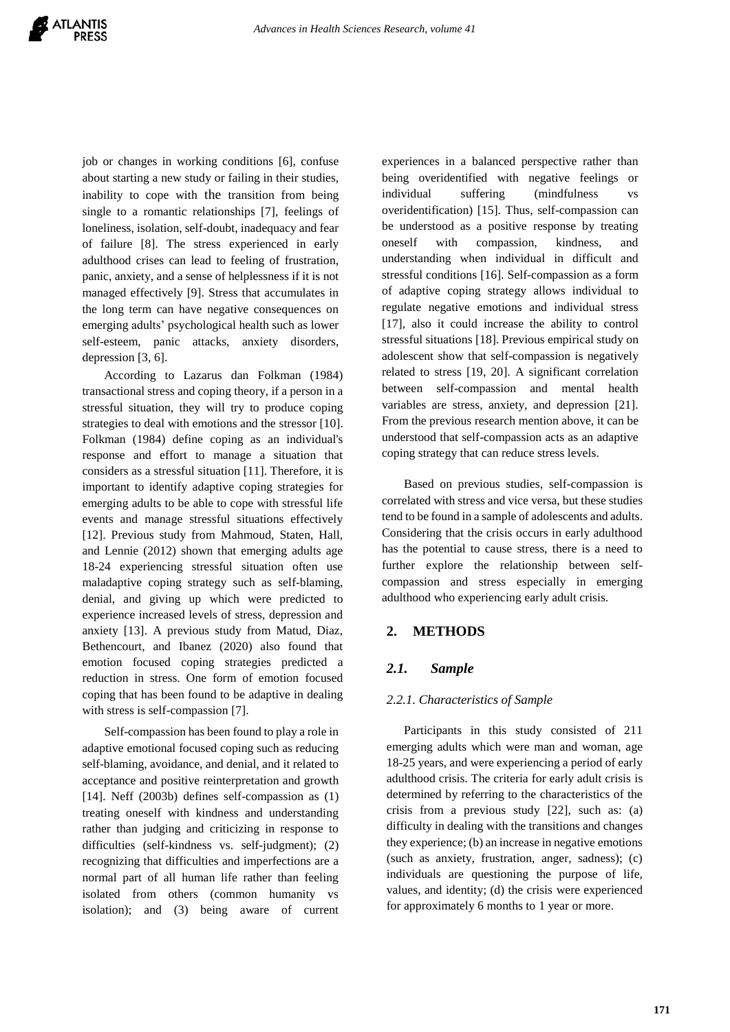job or changes in working conditions [6], confuse about starting a new study or failing in their studies, inability to cope with the transition from being single to a romantic relationships [7], feelings of loneliness, isolation, self-doubt, inadequacy and fear of failure [8]. The stress experienced in early adulthood crises can lead to feeling of frustration, panic, anxiety, and a sense of helplessness if it is not managed effectively [9]. Stress that accumulates in the long term can have negative consequences on emerging adults' psychological health such as lower self-esteem, panic attacks, anxiety disorders, depression [3, 6].

According to Lazarus dan Folkman (1984) transactional stress and coping theory, if a person in a stressful situation, they will try to produce coping strategies to deal with emotions and the stressor [10]. Folkman (1984) define coping as an individual's response and effort to manage a situation that considers as a stressful situation [11]. Therefore, it is important to identify adaptive coping strategies for emerging adults to be able to cope with stressful life events and manage stressful situations effectively [12]. Previous study from Mahmoud, Staten, Hall, and Lennie (2012) shown that emerging adults age 18-24 experiencing stressful situation often use maladaptive coping strategy such as self-blaming, denial, and giving up which were predicted to experience increased levels of stress, depression and anxiety [13]. A previous study from Matud, Diaz, Bethencourt, and Ibanez (2020) also found that emotion focused coping strategies predicted a reduction in stress. One form of emotion focused coping that has been found to be adaptive in dealing with stress is self-compassion [7].

Self-compassion has been found to play a role in adaptive emotional focused coping such as reducing self-blaming, avoidance, and denial, and it related to acceptance and positive reinterpretation and growth [14]. Neff (2003b) defines self-compassion as (1) treating oneself with kindness and understanding rather than judging and criticizing in response to difficulties (self-kindness vs. self-judgment); (2) recognizing that difficulties and imperfections are a normal part of all human life rather than feeling isolated from others (common humanity vs isolation); and (3) being aware of current experiences in a balanced perspective rather than being overidentified with negative feelings or individual suffering (mindfulness vs overidentification) [15]. Thus, self-compassion can be understood as a positive response by treating oneself with compassion, kindness, and understanding when individual in difficult and stressful conditions [16]. Self-compassion as a form of adaptive coping strategy allows individual to regulate negative emotions and individual stress [17], also it could increase the ability to control stressful situations [18]. Previous empirical study on adolescent show that self-compassion is negatively related to stress [19, 20]. A significant correlation between self-compassion and mental health variables are stress, anxiety, and depression [21]. From the previous research mention above, it can be understood that self-compassion acts as an adaptive coping strategy that can reduce stress levels.

Based on previous studies, self-compassion is correlated with stress and vice versa, but these studies tend to be found in a sample of adolescents and adults. Considering that the crisis occurs in early adulthood has the potential to cause stress, there is a need to further explore the relationship between selfcompassion and stress especially in emerging adulthood who experiencing early adult crisis.

## **2. METHODS**

## *2.1. Sample*

#### *2.2.1. Characteristics of Sample*

Participants in this study consisted of 211 emerging adults which were man and woman, age 18-25 years, and were experiencing a period of early adulthood crisis. The criteria for early adult crisis is determined by referring to the characteristics of the crisis from a previous study [22], such as: (a) difficulty in dealing with the transitions and changes they experience; (b) an increase in negative emotions (such as anxiety, frustration, anger, sadness); (c) individuals are questioning the purpose of life, values, and identity; (d) the crisis were experienced for approximately 6 months to 1 year or more.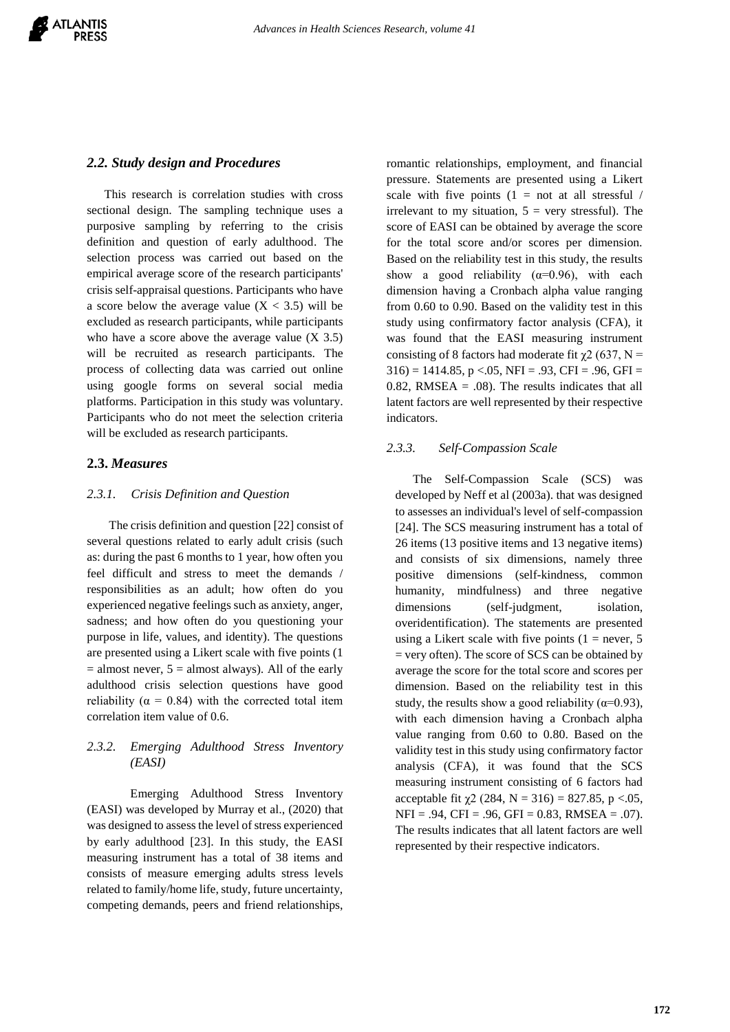## *2.2. Study design and Procedures*

This research is correlation studies with cross sectional design. The sampling technique uses a purposive sampling by referring to the crisis definition and question of early adulthood. The selection process was carried out based on the empirical average score of the research participants' crisis self-appraisal questions. Participants who have a score below the average value  $(X < 3.5)$  will be excluded as research participants, while participants who have a score above the average value  $(X, 3.5)$ will be recruited as research participants. The process of collecting data was carried out online using google forms on several social media platforms. Participation in this study was voluntary. Participants who do not meet the selection criteria will be excluded as research participants.

## **2.3.** *Measures*

#### *2.3.1. Crisis Definition and Question*

The crisis definition and question [22] consist of several questions related to early adult crisis (such as: during the past 6 months to 1 year, how often you feel difficult and stress to meet the demands / responsibilities as an adult; how often do you experienced negative feelings such as anxiety, anger, sadness; and how often do you questioning your purpose in life, values, and identity). The questions are presented using a Likert scale with five points (1  $=$  almost never,  $5 =$  almost always). All of the early adulthood crisis selection questions have good reliability ( $\alpha = 0.84$ ) with the corrected total item correlation item value of 0.6.

## *2.3.2. Emerging Adulthood Stress Inventory (EASI)*

Emerging Adulthood Stress Inventory (EASI) was developed by Murray et al., (2020) that was designed to assess the level of stress experienced by early adulthood [23]. In this study, the EASI measuring instrument has a total of 38 items and consists of measure emerging adults stress levels related to family/home life, study, future uncertainty, competing demands, peers and friend relationships,

romantic relationships, employment, and financial pressure. Statements are presented using a Likert scale with five points  $(1 = not at all stressful)$ irrelevant to my situation,  $5 = \text{very stressful}$ . The score of EASI can be obtained by average the score for the total score and/or scores per dimension. Based on the reliability test in this study, the results show a good reliability  $(\alpha=0.96)$ , with each dimension having a Cronbach alpha value ranging from 0.60 to 0.90. Based on the validity test in this study using confirmatory factor analysis (CFA), it was found that the EASI measuring instrument consisting of 8 factors had moderate fit  $\chi$ 2 (637, N =  $316$  = 1414.85, p <.05, NFI = .93, CFI = .96, GFI =  $0.82$ , RMSEA =  $.08$ ). The results indicates that all latent factors are well represented by their respective indicators.

## *2.3.3. Self-Compassion Scale*

The Self-Compassion Scale (SCS) was developed by Neff et al (2003a). that was designed to assesses an individual's level of self-compassion [24]. The SCS measuring instrument has a total of 26 items (13 positive items and 13 negative items) and consists of six dimensions, namely three positive dimensions (self-kindness, common humanity, mindfulness) and three negative dimensions (self-judgment, isolation, overidentification). The statements are presented using a Likert scale with five points  $(1 = never, 5)$ = very often). The score of SCS can be obtained by average the score for the total score and scores per dimension. Based on the reliability test in this study, the results show a good reliability ( $\alpha$ =0.93), with each dimension having a Cronbach alpha value ranging from 0.60 to 0.80. Based on the validity test in this study using confirmatory factor analysis (CFA), it was found that the SCS measuring instrument consisting of 6 factors had acceptable fit  $\chi$ 2 (284, N = 316) = 827.85, p <.05,  $NFI = .94$ ,  $CFI = .96$ ,  $GFI = 0.83$ ,  $RMSEA = .07$ ). The results indicates that all latent factors are well represented by their respective indicators.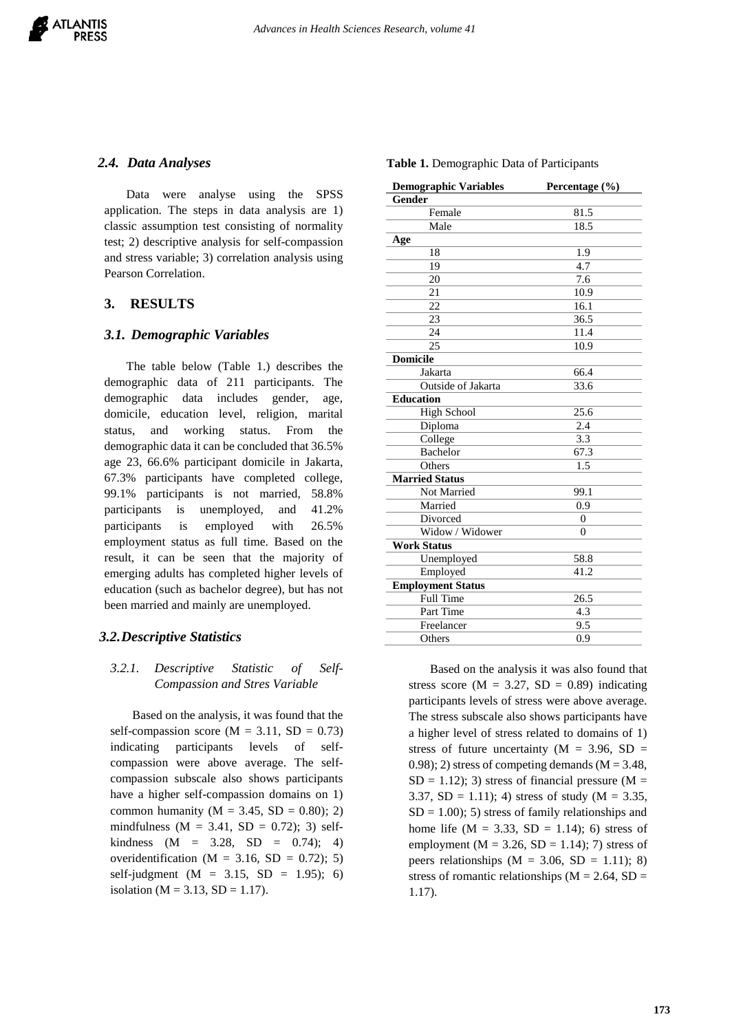#### *2.4. Data Analyses*

Data were analyse using the SPSS application. The steps in data analysis are 1) classic assumption test consisting of normality test; 2) descriptive analysis for self-compassion and stress variable; 3) correlation analysis using Pearson Correlation.

# **3. RESULTS**

#### *3.1. Demographic Variables*

The table below (Table 1.) describes the demographic data of 211 participants. The demographic data includes gender, age, domicile, education level, religion, marital status, and working status. From the demographic data it can be concluded that 36.5% age 23, 66.6% participant domicile in Jakarta, 67.3% participants have completed college, 99.1% participants is not married, 58.8% participants is unemployed, and 41.2% participants is employed with 26.5% employment status as full time. Based on the result, it can be seen that the majority of emerging adults has completed higher levels of education (such as bachelor degree), but has not been married and mainly are unemployed.

## *3.2.Descriptive Statistics*

### *3.2.1. Descriptive Statistic of Self-Compassion and Stres Variable*

Based on the analysis, it was found that the self-compassion score ( $M = 3.11$ ,  $SD = 0.73$ ) indicating participants levels of selfcompassion were above average. The selfcompassion subscale also shows participants have a higher self-compassion domains on 1) common humanity ( $M = 3.45$ ,  $SD = 0.80$ ); 2) mindfulness ( $M = 3.41$ ,  $SD = 0.72$ ); 3) selfkindness  $(M = 3.28, SD = 0.74)$ ; 4) overidentification ( $M = 3.16$ ,  $SD = 0.72$ ); 5) self-judgment ( $M = 3.15$ ,  $SD = 1.95$ ); 6) isolation ( $M = 3.13$ ,  $SD = 1.17$ ).

**Table 1.** Demographic Data of Participants

| <b>Demographic Variables</b> | Percentage (%) |
|------------------------------|----------------|
| Gender                       |                |
| Female                       | 81.5           |
| Male                         | 18.5           |
| Age                          |                |
| 18                           | 1.9            |
| 19                           | 4.7            |
| 20                           | 7.6            |
| 21                           | 10.9           |
| 22                           | 16.1           |
| 23                           | 36.5           |
| 24                           | 11.4           |
| 25                           | 10.9           |
| <b>Domicile</b>              |                |
| Jakarta                      | 66.4           |
| Outside of Jakarta           | 33.6           |
| <b>Education</b>             |                |
| <b>High School</b>           | 25.6           |
| Diploma                      | 2.4            |
| College                      | 3.3            |
| <b>Bachelor</b>              | 67.3           |
| Others                       | 1.5            |
| <b>Married Status</b>        |                |
| Not Married                  | 99.1           |
| Married                      | 0.9            |
| Divorced                     | $\overline{0}$ |
| Widow / Widower              | $\theta$       |
| <b>Work Status</b>           |                |
| Unemployed                   | 58.8           |
| Employed                     | 41.2           |
| <b>Employment Status</b>     |                |
| Full Time                    | 26.5           |
| Part Time                    | 4.3            |
| Freelancer                   | 9.5            |
| Others                       | 0.9            |

Based on the analysis it was also found that stress score ( $M = 3.27$ ,  $SD = 0.89$ ) indicating participants levels of stress were above average. The stress subscale also shows participants have a higher level of stress related to domains of 1) stress of future uncertainty ( $M = 3.96$ , SD = 0.98); 2) stress of competing demands ( $M = 3.48$ ,  $SD = 1.12$ ); 3) stress of financial pressure (M = 3.37,  $SD = 1.11$ ; 4) stress of study (M = 3.35,  $SD = 1.00$ ; 5) stress of family relationships and home life ( $M = 3.33$ ,  $SD = 1.14$ ); 6) stress of employment ( $M = 3.26$ ,  $SD = 1.14$ ); 7) stress of peers relationships  $(M = 3.06, SD = 1.11)$ ; 8) stress of romantic relationships ( $M = 2.64$ , SD = 1.17).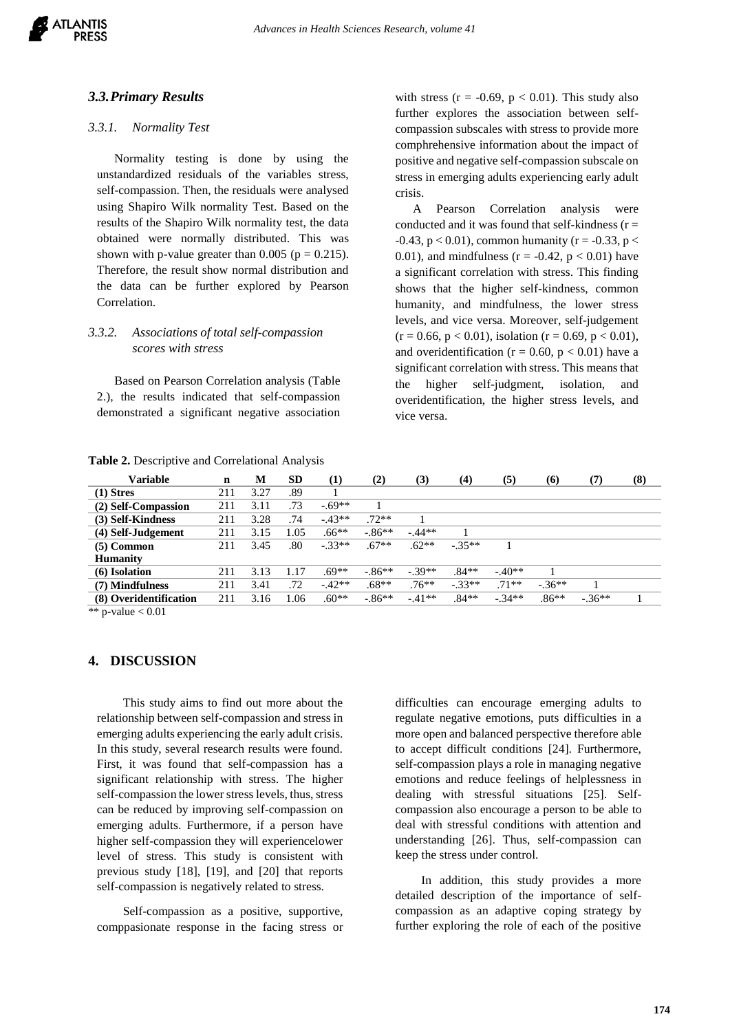### *3.3.Primary Results*

#### *3.3.1. Normality Test*

Normality testing is done by using the unstandardized residuals of the variables stress, self-compassion. Then, the residuals were analysed using Shapiro Wilk normality Test. Based on the results of the Shapiro Wilk normality test, the data obtained were normally distributed. This was shown with p-value greater than 0.005 ( $p = 0.215$ ). Therefore, the result show normal distribution and the data can be further explored by Pearson Correlation.

## *3.3.2. Associations of total self-compassion scores with stress*

Based on Pearson Correlation analysis (Table 2.), the results indicated that self-compassion demonstrated a significant negative association

**Table 2.** Descriptive and Correlational Analysis

with stress ( $r = -0.69$ ,  $p < 0.01$ ). This study also further explores the association between selfcompassion subscales with stress to provide more comphrehensive information about the impact of positive and negative self-compassion subscale on stress in emerging adults experiencing early adult crisis.

A Pearson Correlation analysis were conducted and it was found that self-kindness  $(r =$  $-0.43$ ,  $p < 0.01$ ), common humanity (r =  $-0.33$ , p < 0.01), and mindfulness ( $r = -0.42$ ,  $p < 0.01$ ) have a significant correlation with stress. This finding shows that the higher self-kindness, common humanity, and mindfulness, the lower stress levels, and vice versa. Moreover, self-judgement  $(r = 0.66, p < 0.01)$ , isolation  $(r = 0.69, p < 0.01)$ , and overidentification ( $r = 0.60$ ,  $p < 0.01$ ) have a significant correlation with stress. This means that the higher self-judgment, isolation, and overidentification, the higher stress levels, and vice versa.

| Variable                                                                                                                            | $\mathbf n$ | М    | <b>SD</b> | (1)      | (2)       | (3)      | (4)      | (5)      | (6)     | (7)     | (8) |
|-------------------------------------------------------------------------------------------------------------------------------------|-------------|------|-----------|----------|-----------|----------|----------|----------|---------|---------|-----|
| $(1)$ Stres                                                                                                                         | 211         | 3.27 | .89       |          |           |          |          |          |         |         |     |
| (2) Self-Compassion                                                                                                                 | 211         | 3.11 | .73       | $-69**$  |           |          |          |          |         |         |     |
| (3) Self-Kindness                                                                                                                   | 211         | 3.28 | .74       | $-43**$  | $.72**$   |          |          |          |         |         |     |
| (4) Self-Judgement                                                                                                                  | 211         | 3.15 | 1.05      | $.66**$  | $-.86**$  | $-.44**$ |          |          |         |         |     |
| $(5)$ Common                                                                                                                        | 211         | 3.45 | $.80\,$   | $-33**$  | $.67**$   | $.62**$  | $-.35**$ |          |         |         |     |
| <b>Humanity</b>                                                                                                                     |             |      |           |          |           |          |          |          |         |         |     |
| (6) Isolation                                                                                                                       | 211         | 3.13 | 1.17      | $.69**$  | $-.86**$  | $-.39**$ | $.84**$  | $-.40**$ |         |         |     |
| (7) Mindfulness                                                                                                                     | 211         | 3.41 | .72       | $-.42**$ | $.68**$   | $.76***$ | $-.33**$ | $.71**$  | $-36**$ |         |     |
| (8) Overidentification                                                                                                              | 211         | 3.16 | 1.06      | $.60**$  | $-0.86**$ | $-41**$  | $.84**$  | $-.34**$ | $.86**$ | $-36**$ |     |
| $\mathbf{a}$ and $\mathbf{b}$ and $\mathbf{b}$ and $\mathbf{a}$ and $\mathbf{a}$ and $\mathbf{a}$ and $\mathbf{a}$ and $\mathbf{a}$ |             |      |           |          |           |          |          |          |         |         |     |

\*\* p-value  $< 0.01$ 

#### **4. DISCUSSION**

This study aims to find out more about the relationship between self-compassion and stress in emerging adults experiencing the early adult crisis. In this study, several research results were found. First, it was found that self-compassion has a significant relationship with stress. The higher self-compassion the lower stress levels, thus, stress can be reduced by improving self-compassion on emerging adults. Furthermore, if a person have higher self-compassion they will experiencelower level of stress. This study is consistent with previous study [18], [19], and [20] that reports self-compassion is negatively related to stress.

Self-compassion as a positive, supportive, comppasionate response in the facing stress or difficulties can encourage emerging adults to regulate negative emotions, puts difficulties in a more open and balanced perspective therefore able to accept difficult conditions [24]. Furthermore, self-compassion plays a role in managing negative emotions and reduce feelings of helplessness in dealing with stressful situations [25]. Selfcompassion also encourage a person to be able to deal with stressful conditions with attention and understanding [26]. Thus, self-compassion can keep the stress under control.

In addition, this study provides a more detailed description of the importance of selfcompassion as an adaptive coping strategy by further exploring the role of each of the positive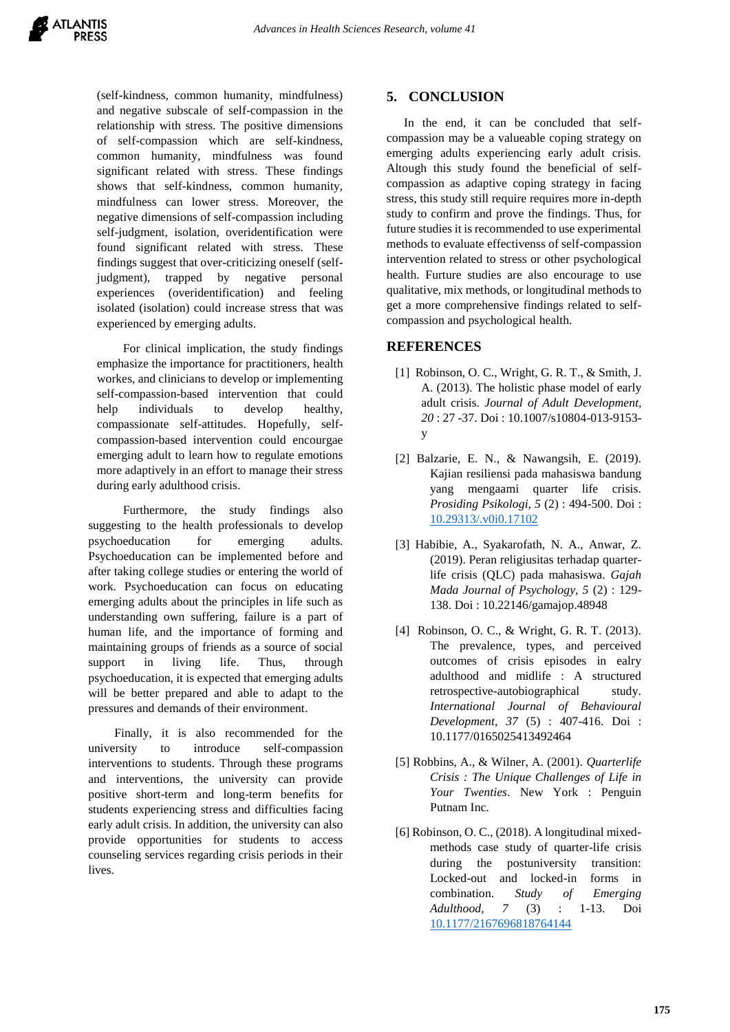(self-kindness, common humanity, mindfulness) and negative subscale of self-compassion in the relationship with stress. The positive dimensions of self-compassion which are self-kindness, common humanity, mindfulness was found significant related with stress. These findings shows that self-kindness, common humanity, mindfulness can lower stress. Moreover, the negative dimensions of self-compassion including self-judgment, isolation, overidentification were found significant related with stress. These findings suggest that over-criticizing oneself (selfjudgment), trapped by negative personal experiences (overidentification) and feeling isolated (isolation) could increase stress that was experienced by emerging adults.

For clinical implication, the study findings emphasize the importance for practitioners, health workes, and clinicians to develop or implementing self-compassion-based intervention that could help individuals to develop healthy, compassionate self-attitudes. Hopefully, selfcompassion-based intervention could encourgae emerging adult to learn how to regulate emotions more adaptively in an effort to manage their stress during early adulthood crisis.

Furthermore, the study findings also suggesting to the health professionals to develop psychoeducation for emerging adults. Psychoeducation can be implemented before and after taking college studies or entering the world of work. Psychoeducation can focus on educating emerging adults about the principles in life such as understanding own suffering, failure is a part of human life, and the importance of forming and maintaining groups of friends as a source of social support in living life. Thus, through psychoeducation, it is expected that emerging adults will be better prepared and able to adapt to the pressures and demands of their environment.

Finally, it is also recommended for the university to introduce self-compassion interventions to students. Through these programs and interventions, the university can provide positive short-term and long-term benefits for students experiencing stress and difficulties facing early adult crisis. In addition, the university can also provide opportunities for students to access counseling services regarding crisis periods in their lives.

# **5. CONCLUSION**

In the end, it can be concluded that selfcompassion may be a valueable coping strategy on emerging adults experiencing early adult crisis. Altough this study found the beneficial of selfcompassion as adaptive coping strategy in facing stress, this study still require requires more in-depth study to confirm and prove the findings. Thus, for future studies it is recommended to use experimental methods to evaluate effectivenss of self-compassion intervention related to stress or other psychological health. Furture studies are also encourage to use qualitative, mix methods, or longitudinal methods to get a more comprehensive findings related to selfcompassion and psychological health.

## **REFERENCES**

- [1] Robinson, O. C., Wright, G. R. T., & Smith, J. A. (2013). The holistic phase model of early adult crisis. *Journal of Adult Development, 20* : 27 -37. Doi : 10.1007/s10804-013-9153 y
- [2] Balzarie, E. N., & Nawangsih, E. (2019). Kajian resiliensi pada mahasiswa bandung yang mengaami quarter life crisis. *Prosiding Psikologi, 5* (2) : 494-500. Doi : [10.29313/.v0i0.17102](http://dx.doi.org/10.29313/.v0i0.17102)
- [3] Habibie, A., Syakarofath, N. A., Anwar, Z. (2019). Peran religiusitas terhadap quarterlife crisis (QLC) pada mahasiswa. *Gajah Mada Journal of Psychology, 5* (2) : 129- 138. Doi : 10.22146/gamajop.48948
- [4] Robinson, O. C., & Wright, G. R. T. (2013). The prevalence, types, and perceived outcomes of crisis episodes in ealry adulthood and midlife : A structured retrospective-autobiographical study. *International Journal of Behavioural Development, 37* (5) : 407-416. Doi : 10.1177/0165025413492464
- [5] Robbins, A., & Wilner, A. (2001). *Quarterlife Crisis : The Unique Challenges of Life in Your Twenties*. New York : Penguin Putnam Inc.
- [6] Robinson, O. C., (2018). A longitudinal mixedmethods case study of quarter-life crisis during the postuniversity transition: Locked-out and locked-in forms in combination. *Study of Emerging Adulthood, 7* (3) : 1-13. Doi [10.1177/2167696818764144](https://www.researchgate.net/deref/http%3A%2F%2Fdx.doi.org%2F10.1177%2F2167696818764144)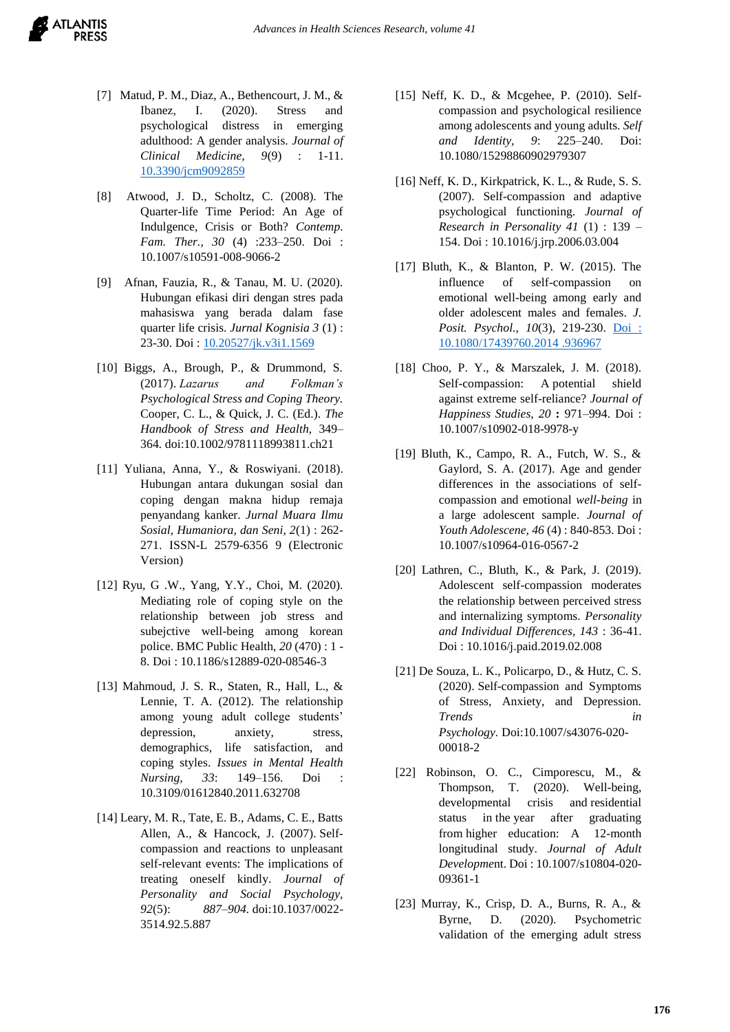- [7] Matud, P. M., Diaz, A., Bethencourt, J. M., & Ibanez, I. (2020). Stress and psychological distress in emerging adulthood: A gender analysis. *Journal of Clinical Medicine, 9*(9) : 1-11. [10.3390/jcm9092859](https://www.researchgate.net/deref/http%3A%2F%2Fdx.doi.org%2F10.3390%2Fjcm9092859?_sg%5B0%5D=S5UWLOQ9YL1TM0zhEZkEa1Thix6wt_veVxQwO3UEvWqtophh8IRzfdwE4tzLvBH7zAWovFasESU3r7_u1ByapDwVbw.w18T9jTdlKrqyG8UDXkBOuJUlhe_4W1bxBhefBAOs1D9cczcB_knP-q6CF-577rTK5d_Ofu1bvmUbSa6wCuo4A)
- [8] Atwood, J. D., Scholtz, C. (2008). The Quarter-life Time Period: An Age of Indulgence, Crisis or Both? *Contemp. Fam. Ther., 30* (4) :233–250. Doi : 10.1007/s10591-008-9066-2
- [9] Afnan, Fauzia, R., & Tanau, M. U. (2020). Hubungan efikasi diri dengan stres pada mahasiswa yang berada dalam fase quarter life crisis. *Jurnal Kognisia 3* (1) : 23-30. Doi [: 10.20527/jk.v3i1.1569](https://doi.org/10.20527/jk.v3i1.1569)
- [10] Biggs, A., Brough, P., & Drummond, S. (2017). *Lazarus and Folkman's Psychological Stress and Coping Theory.*  Cooper, C. L., & Quick, J. C. (Ed.). *The Handbook of Stress and Health,* 349– 364*.* doi:10.1002/9781118993811.ch21
- [11] Yuliana, Anna, Y., & Roswiyani. (2018). Hubungan antara dukungan sosial dan coping dengan makna hidup remaja penyandang kanker. *Jurnal Muara Ilmu Sosial, Humaniora, dan Seni, 2*(1) : 262- 271. ISSN-L 2579-6356 9 (Electronic Version)
- [12] Ryu, G .W., Yang, Y.Y., Choi, M. (2020). Mediating role of coping style on the relationship between job stress and subejctive well-being among korean police. BMC Public Health, *20* (470) : 1 - 8. Doi : 10.1186/s12889-020-08546-3
- [13] Mahmoud, J. S. R., Staten, R., Hall, L., & Lennie, T. A. (2012). The relationship among young adult college students' depression, anxiety, stress, demographics, life satisfaction, and coping styles. *Issues in Mental Health Nursing, 33*: 149–156. Doi : 10.3109/01612840.2011.632708
- [14] Leary, M. R., Tate, E. B., Adams, C. E., Batts Allen, A., & Hancock, J. (2007). Selfcompassion and reactions to unpleasant self-relevant events: The implications of treating oneself kindly. *Journal of Personality and Social Psychology, 92*(5): *887–904.* doi:10.1037/0022- 3514.92.5.887
- [15] Neff, K. D., & Mcgehee, P. (2010). Selfcompassion and psychological resilience among adolescents and young adults. *Self and Identity, 9*: 225–240. Doi: 10.1080/15298860902979307
- [16] Neff, K. D., Kirkpatrick, K. L., & Rude, S. S. (2007). Self-compassion and adaptive psychological functioning. *Journal of Research in Personality 41* (1) : 139 – 154. Doi : 10.1016/j.jrp.2006.03.004
- [17] Bluth, K., & Blanton, P. W. (2015). The influence of self-compassion on emotional well-being among early and older adolescent males and females. *J. Posit. Psychol., 10*(3), 219-230. [Doi :](https://doi.org/10.1080/17439760.2014%20.936967)  [10.1080/17439760.2014 .936967](https://doi.org/10.1080/17439760.2014%20.936967)
- [18] Choo, P. Y., & Marszalek, J. M. (2018). Self-compassion: A potential shield against extreme self-reliance? *Journal of Happiness Studies, 20* **:** 971–994. Doi : 10.1007/s10902-018-9978-y
- [19] Bluth, K., Campo, R. A., Futch, W. S., & Gaylord, S. A. (2017). Age and gender differences in the associations of selfcompassion and emotional *well-being* in a large adolescent sample. *Journal of Youth Adolescene, 46* (4) : 840-853. Doi : [10.1007/s10964-016-0567-2](https://dx.doi.org/10.1007%2Fs10964-016-0567-2)
- [20] Lathren, C., Bluth, K., & Park, J. (2019). Adolescent self-compassion moderates the relationship between perceived stress and internalizing symptoms. *Personality and Individual Differences, 143* : 36-41. Doi : 10.1016/j.paid.2019.02.008
- [21] De Souza, L. K., Policarpo, D., & Hutz, C. S. (2020). Self-compassion and Symptoms of Stress, Anxiety, and Depression. *Trends in Psychology.* Doi:10.1007/s43076-020- 00018-2
- [22] Robinson, O. C., Cimporescu, M., & Thompson, T. (2020). Well-being, developmental crisis and residential status in the year after graduating from higher education: A 12-month longitudinal study. *Journal of Adult Developme*nt. Doi : 10.1007/s10804-020- 09361-1
- [23] Murray, K., Crisp, D. A., Burns, R. A., & Byrne, D. (2020). Psychometric validation of the emerging adult stress